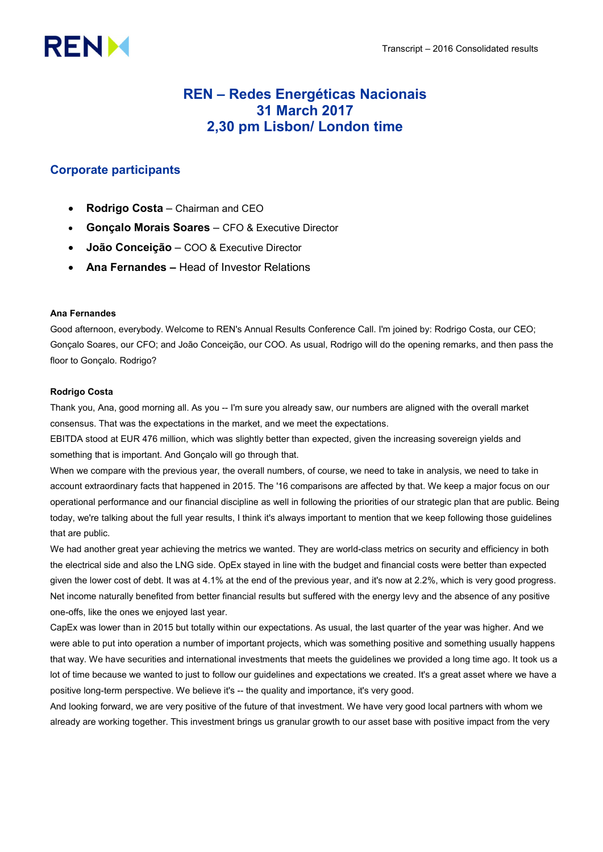# **RENM**

## REN – Redes Energéticas Nacionais 31 March 2017 2,30 pm Lisbon/ London time

### Corporate participants

- Rodrigo Costa Chairman and CEO
- Gonçalo Morais Soares CFO & Executive Director
- João Conceição COO & Executive Director
- Ana Fernandes Head of Investor Relations

#### Ana Fernandes

Good afternoon, everybody. Welcome to REN's Annual Results Conference Call. I'm joined by: Rodrigo Costa, our CEO; Gonçalo Soares, our CFO; and João Conceição, our COO. As usual, Rodrigo will do the opening remarks, and then pass the floor to Gonçalo. Rodrigo?

#### Rodrigo Costa

Thank you, Ana, good morning all. As you -- I'm sure you already saw, our numbers are aligned with the overall market consensus. That was the expectations in the market, and we meet the expectations.

EBITDA stood at EUR 476 million, which was slightly better than expected, given the increasing sovereign yields and something that is important. And Gonçalo will go through that.

When we compare with the previous year, the overall numbers, of course, we need to take in analysis, we need to take in account extraordinary facts that happened in 2015. The '16 comparisons are affected by that. We keep a major focus on our operational performance and our financial discipline as well in following the priorities of our strategic plan that are public. Being today, we're talking about the full year results, I think it's always important to mention that we keep following those guidelines that are public.

We had another great year achieving the metrics we wanted. They are world-class metrics on security and efficiency in both the electrical side and also the LNG side. OpEx stayed in line with the budget and financial costs were better than expected given the lower cost of debt. It was at 4.1% at the end of the previous year, and it's now at 2.2%, which is very good progress. Net income naturally benefited from better financial results but suffered with the energy levy and the absence of any positive one-offs, like the ones we enjoyed last year.

CapEx was lower than in 2015 but totally within our expectations. As usual, the last quarter of the year was higher. And we were able to put into operation a number of important projects, which was something positive and something usually happens that way. We have securities and international investments that meets the guidelines we provided a long time ago. It took us a lot of time because we wanted to just to follow our guidelines and expectations we created. It's a great asset where we have a positive long-term perspective. We believe it's -- the quality and importance, it's very good.

And looking forward, we are very positive of the future of that investment. We have very good local partners with whom we already are working together. This investment brings us granular growth to our asset base with positive impact from the very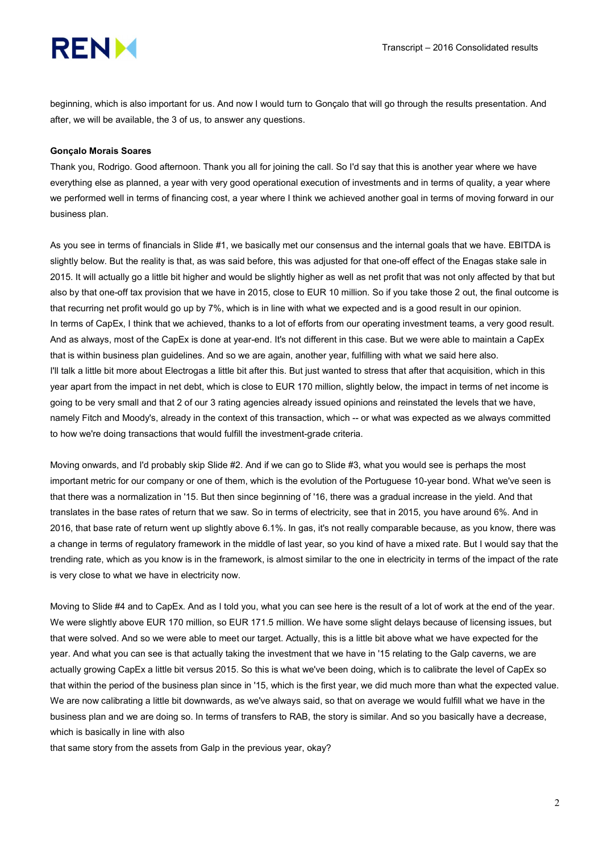

beginning, which is also important for us. And now I would turn to Gonçalo that will go through the results presentation. And after, we will be available, the 3 of us, to answer any questions.

#### Gonçalo Morais Soares

Thank you, Rodrigo. Good afternoon. Thank you all for joining the call. So I'd say that this is another year where we have everything else as planned, a year with very good operational execution of investments and in terms of quality, a year where we performed well in terms of financing cost, a year where I think we achieved another goal in terms of moving forward in our business plan.

As you see in terms of financials in Slide #1, we basically met our consensus and the internal goals that we have. EBITDA is slightly below. But the reality is that, as was said before, this was adjusted for that one-off effect of the Enagas stake sale in 2015. It will actually go a little bit higher and would be slightly higher as well as net profit that was not only affected by that but also by that one-off tax provision that we have in 2015, close to EUR 10 million. So if you take those 2 out, the final outcome is that recurring net profit would go up by 7%, which is in line with what we expected and is a good result in our opinion. In terms of CapEx, I think that we achieved, thanks to a lot of efforts from our operating investment teams, a very good result. And as always, most of the CapEx is done at year-end. It's not different in this case. But we were able to maintain a CapEx that is within business plan guidelines. And so we are again, another year, fulfilling with what we said here also. I'll talk a little bit more about Electrogas a little bit after this. But just wanted to stress that after that acquisition, which in this year apart from the impact in net debt, which is close to EUR 170 million, slightly below, the impact in terms of net income is going to be very small and that 2 of our 3 rating agencies already issued opinions and reinstated the levels that we have, namely Fitch and Moody's, already in the context of this transaction, which -- or what was expected as we always committed to how we're doing transactions that would fulfill the investment-grade criteria.

Moving onwards, and I'd probably skip Slide #2. And if we can go to Slide #3, what you would see is perhaps the most important metric for our company or one of them, which is the evolution of the Portuguese 10-year bond. What we've seen is that there was a normalization in '15. But then since beginning of '16, there was a gradual increase in the yield. And that translates in the base rates of return that we saw. So in terms of electricity, see that in 2015, you have around 6%. And in 2016, that base rate of return went up slightly above 6.1%. In gas, it's not really comparable because, as you know, there was a change in terms of regulatory framework in the middle of last year, so you kind of have a mixed rate. But I would say that the trending rate, which as you know is in the framework, is almost similar to the one in electricity in terms of the impact of the rate is very close to what we have in electricity now.

Moving to Slide #4 and to CapEx. And as I told you, what you can see here is the result of a lot of work at the end of the year. We were slightly above EUR 170 million, so EUR 171.5 million. We have some slight delays because of licensing issues, but that were solved. And so we were able to meet our target. Actually, this is a little bit above what we have expected for the year. And what you can see is that actually taking the investment that we have in '15 relating to the Galp caverns, we are actually growing CapEx a little bit versus 2015. So this is what we've been doing, which is to calibrate the level of CapEx so that within the period of the business plan since in '15, which is the first year, we did much more than what the expected value. We are now calibrating a little bit downwards, as we've always said, so that on average we would fulfill what we have in the business plan and we are doing so. In terms of transfers to RAB, the story is similar. And so you basically have a decrease, which is basically in line with also

that same story from the assets from Galp in the previous year, okay?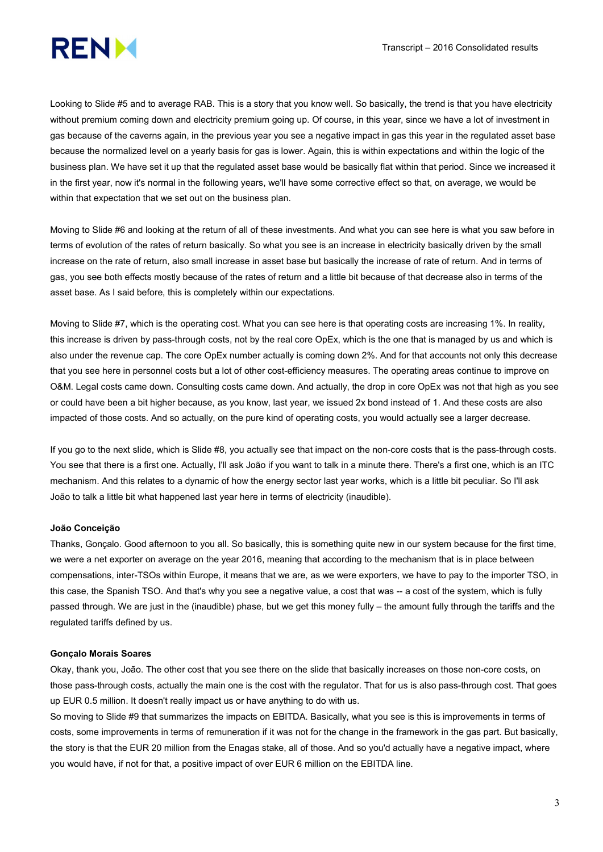

Looking to Slide #5 and to average RAB. This is a story that you know well. So basically, the trend is that you have electricity without premium coming down and electricity premium going up. Of course, in this year, since we have a lot of investment in gas because of the caverns again, in the previous year you see a negative impact in gas this year in the regulated asset base because the normalized level on a yearly basis for gas is lower. Again, this is within expectations and within the logic of the business plan. We have set it up that the regulated asset base would be basically flat within that period. Since we increased it in the first year, now it's normal in the following years, we'll have some corrective effect so that, on average, we would be within that expectation that we set out on the business plan.

Moving to Slide #6 and looking at the return of all of these investments. And what you can see here is what you saw before in terms of evolution of the rates of return basically. So what you see is an increase in electricity basically driven by the small increase on the rate of return, also small increase in asset base but basically the increase of rate of return. And in terms of gas, you see both effects mostly because of the rates of return and a little bit because of that decrease also in terms of the asset base. As I said before, this is completely within our expectations.

Moving to Slide #7, which is the operating cost. What you can see here is that operating costs are increasing 1%. In reality, this increase is driven by pass-through costs, not by the real core OpEx, which is the one that is managed by us and which is also under the revenue cap. The core OpEx number actually is coming down 2%. And for that accounts not only this decrease that you see here in personnel costs but a lot of other cost-efficiency measures. The operating areas continue to improve on O&M. Legal costs came down. Consulting costs came down. And actually, the drop in core OpEx was not that high as you see or could have been a bit higher because, as you know, last year, we issued 2x bond instead of 1. And these costs are also impacted of those costs. And so actually, on the pure kind of operating costs, you would actually see a larger decrease.

If you go to the next slide, which is Slide #8, you actually see that impact on the non-core costs that is the pass-through costs. You see that there is a first one. Actually, I'll ask João if you want to talk in a minute there. There's a first one, which is an ITC mechanism. And this relates to a dynamic of how the energy sector last year works, which is a little bit peculiar. So I'll ask João to talk a little bit what happened last year here in terms of electricity (inaudible).

#### João Conceição

Thanks, Gonçalo. Good afternoon to you all. So basically, this is something quite new in our system because for the first time, we were a net exporter on average on the year 2016, meaning that according to the mechanism that is in place between compensations, inter-TSOs within Europe, it means that we are, as we were exporters, we have to pay to the importer TSO, in this case, the Spanish TSO. And that's why you see a negative value, a cost that was -- a cost of the system, which is fully passed through. We are just in the (inaudible) phase, but we get this money fully – the amount fully through the tariffs and the regulated tariffs defined by us.

#### Gonçalo Morais Soares

Okay, thank you, João. The other cost that you see there on the slide that basically increases on those non-core costs, on those pass-through costs, actually the main one is the cost with the regulator. That for us is also pass-through cost. That goes up EUR 0.5 million. It doesn't really impact us or have anything to do with us.

So moving to Slide #9 that summarizes the impacts on EBITDA. Basically, what you see is this is improvements in terms of costs, some improvements in terms of remuneration if it was not for the change in the framework in the gas part. But basically, the story is that the EUR 20 million from the Enagas stake, all of those. And so you'd actually have a negative impact, where you would have, if not for that, a positive impact of over EUR 6 million on the EBITDA line.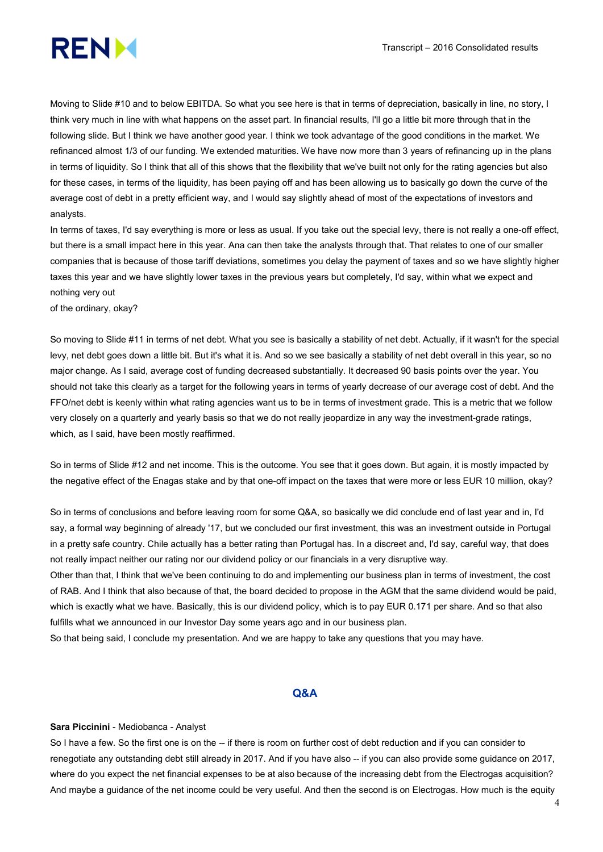

Moving to Slide #10 and to below EBITDA. So what you see here is that in terms of depreciation, basically in line, no story, I think very much in line with what happens on the asset part. In financial results, I'll go a little bit more through that in the following slide. But I think we have another good year. I think we took advantage of the good conditions in the market. We refinanced almost 1/3 of our funding. We extended maturities. We have now more than 3 years of refinancing up in the plans in terms of liquidity. So I think that all of this shows that the flexibility that we've built not only for the rating agencies but also for these cases, in terms of the liquidity, has been paying off and has been allowing us to basically go down the curve of the average cost of debt in a pretty efficient way, and I would say slightly ahead of most of the expectations of investors and analysts.

In terms of taxes, I'd say everything is more or less as usual. If you take out the special levy, there is not really a one-off effect, but there is a small impact here in this year. Ana can then take the analysts through that. That relates to one of our smaller companies that is because of those tariff deviations, sometimes you delay the payment of taxes and so we have slightly higher taxes this year and we have slightly lower taxes in the previous years but completely, I'd say, within what we expect and nothing very out

of the ordinary, okay?

So moving to Slide #11 in terms of net debt. What you see is basically a stability of net debt. Actually, if it wasn't for the special levy, net debt goes down a little bit. But it's what it is. And so we see basically a stability of net debt overall in this year, so no major change. As I said, average cost of funding decreased substantially. It decreased 90 basis points over the year. You should not take this clearly as a target for the following years in terms of yearly decrease of our average cost of debt. And the FFO/net debt is keenly within what rating agencies want us to be in terms of investment grade. This is a metric that we follow very closely on a quarterly and yearly basis so that we do not really jeopardize in any way the investment-grade ratings, which, as I said, have been mostly reaffirmed.

So in terms of Slide #12 and net income. This is the outcome. You see that it goes down. But again, it is mostly impacted by the negative effect of the Enagas stake and by that one-off impact on the taxes that were more or less EUR 10 million, okay?

So in terms of conclusions and before leaving room for some Q&A, so basically we did conclude end of last year and in, I'd say, a formal way beginning of already '17, but we concluded our first investment, this was an investment outside in Portugal in a pretty safe country. Chile actually has a better rating than Portugal has. In a discreet and, I'd say, careful way, that does not really impact neither our rating nor our dividend policy or our financials in a very disruptive way.

Other than that, I think that we've been continuing to do and implementing our business plan in terms of investment, the cost of RAB. And I think that also because of that, the board decided to propose in the AGM that the same dividend would be paid, which is exactly what we have. Basically, this is our dividend policy, which is to pay EUR 0.171 per share. And so that also fulfills what we announced in our Investor Day some years ago and in our business plan.

So that being said, I conclude my presentation. And we are happy to take any questions that you may have.

#### Q&A

#### Sara Piccinini - Mediobanca - Analyst

So I have a few. So the first one is on the -- if there is room on further cost of debt reduction and if you can consider to renegotiate any outstanding debt still already in 2017. And if you have also -- if you can also provide some guidance on 2017, where do you expect the net financial expenses to be at also because of the increasing debt from the Electrogas acquisition? And maybe a guidance of the net income could be very useful. And then the second is on Electrogas. How much is the equity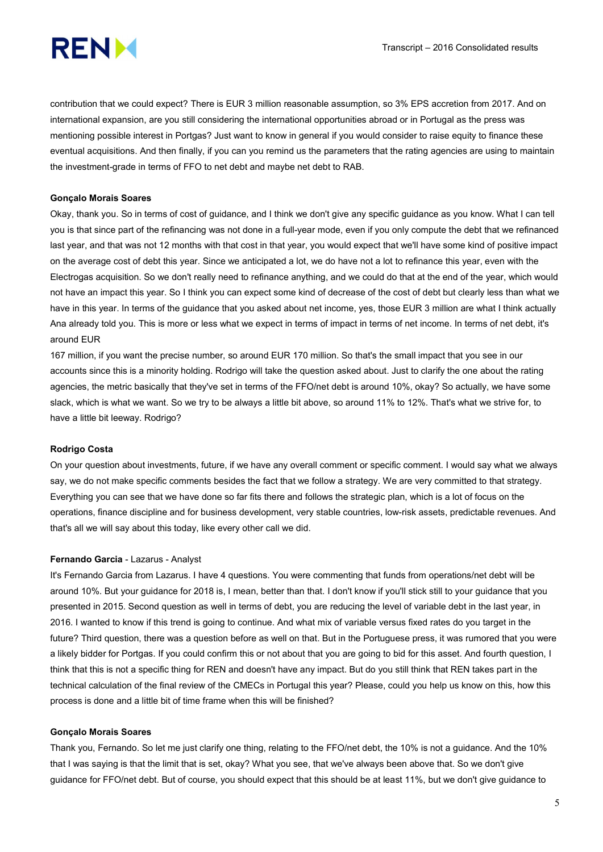

contribution that we could expect? There is EUR 3 million reasonable assumption, so 3% EPS accretion from 2017. And on international expansion, are you still considering the international opportunities abroad or in Portugal as the press was mentioning possible interest in Portgas? Just want to know in general if you would consider to raise equity to finance these eventual acquisitions. And then finally, if you can you remind us the parameters that the rating agencies are using to maintain the investment-grade in terms of FFO to net debt and maybe net debt to RAB.

#### Gonçalo Morais Soares

Okay, thank you. So in terms of cost of guidance, and I think we don't give any specific guidance as you know. What I can tell you is that since part of the refinancing was not done in a full-year mode, even if you only compute the debt that we refinanced last year, and that was not 12 months with that cost in that year, you would expect that we'll have some kind of positive impact on the average cost of debt this year. Since we anticipated a lot, we do have not a lot to refinance this year, even with the Electrogas acquisition. So we don't really need to refinance anything, and we could do that at the end of the year, which would not have an impact this year. So I think you can expect some kind of decrease of the cost of debt but clearly less than what we have in this year. In terms of the guidance that you asked about net income, yes, those EUR 3 million are what I think actually Ana already told you. This is more or less what we expect in terms of impact in terms of net income. In terms of net debt, it's around EUR

167 million, if you want the precise number, so around EUR 170 million. So that's the small impact that you see in our accounts since this is a minority holding. Rodrigo will take the question asked about. Just to clarify the one about the rating agencies, the metric basically that they've set in terms of the FFO/net debt is around 10%, okay? So actually, we have some slack, which is what we want. So we try to be always a little bit above, so around 11% to 12%. That's what we strive for, to have a little bit leeway. Rodrigo?

#### Rodrigo Costa

On your question about investments, future, if we have any overall comment or specific comment. I would say what we always say, we do not make specific comments besides the fact that we follow a strategy. We are very committed to that strategy. Everything you can see that we have done so far fits there and follows the strategic plan, which is a lot of focus on the operations, finance discipline and for business development, very stable countries, low-risk assets, predictable revenues. And that's all we will say about this today, like every other call we did.

#### Fernando Garcia - Lazarus - Analyst

It's Fernando Garcia from Lazarus. I have 4 questions. You were commenting that funds from operations/net debt will be around 10%. But your guidance for 2018 is, I mean, better than that. I don't know if you'll stick still to your guidance that you presented in 2015. Second question as well in terms of debt, you are reducing the level of variable debt in the last year, in 2016. I wanted to know if this trend is going to continue. And what mix of variable versus fixed rates do you target in the future? Third question, there was a question before as well on that. But in the Portuguese press, it was rumored that you were a likely bidder for Portgas. If you could confirm this or not about that you are going to bid for this asset. And fourth question, I think that this is not a specific thing for REN and doesn't have any impact. But do you still think that REN takes part in the technical calculation of the final review of the CMECs in Portugal this year? Please, could you help us know on this, how this process is done and a little bit of time frame when this will be finished?

#### Gonçalo Morais Soares

Thank you, Fernando. So let me just clarify one thing, relating to the FFO/net debt, the 10% is not a guidance. And the 10% that I was saying is that the limit that is set, okay? What you see, that we've always been above that. So we don't give guidance for FFO/net debt. But of course, you should expect that this should be at least 11%, but we don't give guidance to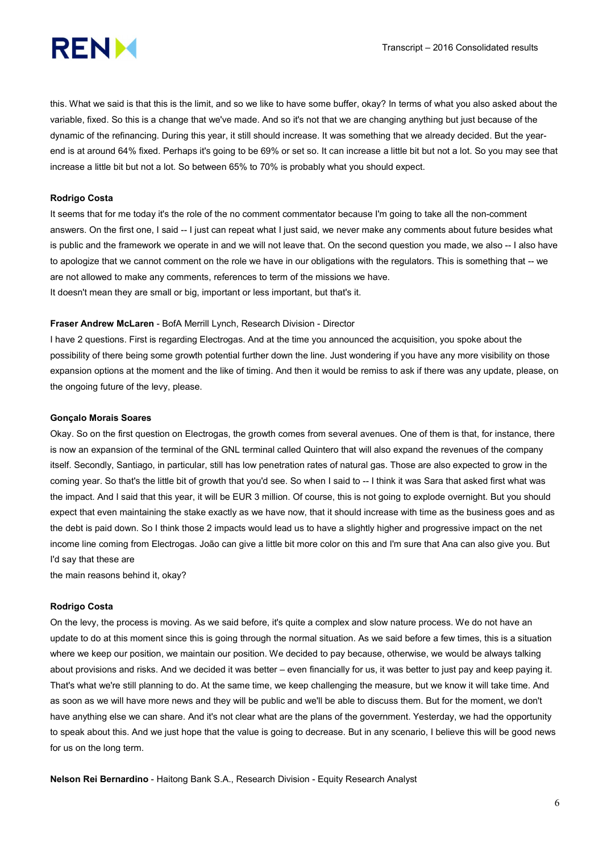

this. What we said is that this is the limit, and so we like to have some buffer, okay? In terms of what you also asked about the variable, fixed. So this is a change that we've made. And so it's not that we are changing anything but just because of the dynamic of the refinancing. During this year, it still should increase. It was something that we already decided. But the yearend is at around 64% fixed. Perhaps it's going to be 69% or set so. It can increase a little bit but not a lot. So you may see that increase a little bit but not a lot. So between 65% to 70% is probably what you should expect.

#### Rodrigo Costa

It seems that for me today it's the role of the no comment commentator because I'm going to take all the non-comment answers. On the first one, I said -- I just can repeat what I just said, we never make any comments about future besides what is public and the framework we operate in and we will not leave that. On the second question you made, we also -- I also have to apologize that we cannot comment on the role we have in our obligations with the regulators. This is something that -- we are not allowed to make any comments, references to term of the missions we have. It doesn't mean they are small or big, important or less important, but that's it.

#### Fraser Andrew McLaren - BofA Merrill Lynch, Research Division - Director

I have 2 questions. First is regarding Electrogas. And at the time you announced the acquisition, you spoke about the possibility of there being some growth potential further down the line. Just wondering if you have any more visibility on those expansion options at the moment and the like of timing. And then it would be remiss to ask if there was any update, please, on the ongoing future of the levy, please.

#### Gonçalo Morais Soares

Okay. So on the first question on Electrogas, the growth comes from several avenues. One of them is that, for instance, there is now an expansion of the terminal of the GNL terminal called Quintero that will also expand the revenues of the company itself. Secondly, Santiago, in particular, still has low penetration rates of natural gas. Those are also expected to grow in the coming year. So that's the little bit of growth that you'd see. So when I said to -- I think it was Sara that asked first what was the impact. And I said that this year, it will be EUR 3 million. Of course, this is not going to explode overnight. But you should expect that even maintaining the stake exactly as we have now, that it should increase with time as the business goes and as the debt is paid down. So I think those 2 impacts would lead us to have a slightly higher and progressive impact on the net income line coming from Electrogas. João can give a little bit more color on this and I'm sure that Ana can also give you. But I'd say that these are

the main reasons behind it, okay?

#### Rodrigo Costa

On the levy, the process is moving. As we said before, it's quite a complex and slow nature process. We do not have an update to do at this moment since this is going through the normal situation. As we said before a few times, this is a situation where we keep our position, we maintain our position. We decided to pay because, otherwise, we would be always talking about provisions and risks. And we decided it was better – even financially for us, it was better to just pay and keep paying it. That's what we're still planning to do. At the same time, we keep challenging the measure, but we know it will take time. And as soon as we will have more news and they will be public and we'll be able to discuss them. But for the moment, we don't have anything else we can share. And it's not clear what are the plans of the government. Yesterday, we had the opportunity to speak about this. And we just hope that the value is going to decrease. But in any scenario, I believe this will be good news for us on the long term.

Nelson Rei Bernardino - Haitong Bank S.A., Research Division - Equity Research Analyst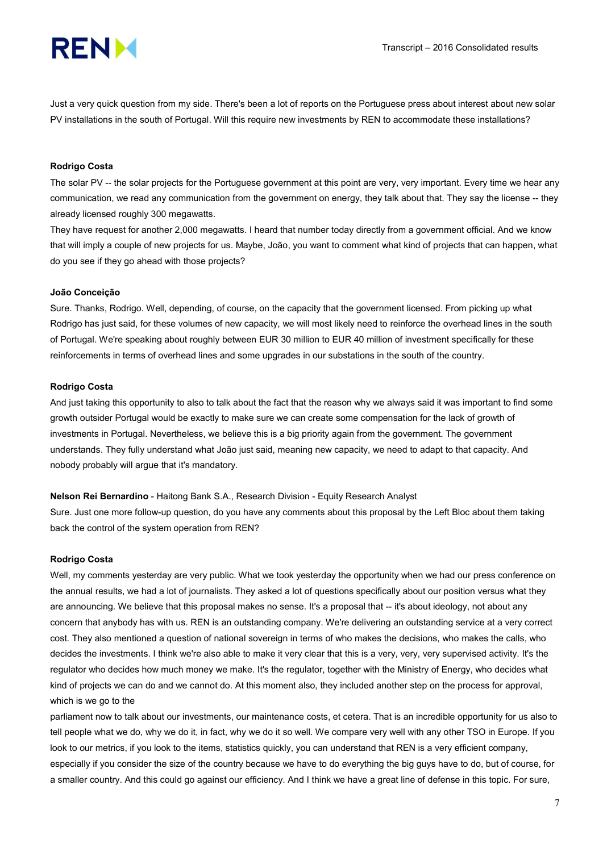

Just a very quick question from my side. There's been a lot of reports on the Portuguese press about interest about new solar PV installations in the south of Portugal. Will this require new investments by REN to accommodate these installations?

#### Rodrigo Costa

The solar PV -- the solar projects for the Portuguese government at this point are very, very important. Every time we hear any communication, we read any communication from the government on energy, they talk about that. They say the license -- they already licensed roughly 300 megawatts.

They have request for another 2,000 megawatts. I heard that number today directly from a government official. And we know that will imply a couple of new projects for us. Maybe, João, you want to comment what kind of projects that can happen, what do you see if they go ahead with those projects?

#### João Conceição

Sure. Thanks, Rodrigo. Well, depending, of course, on the capacity that the government licensed. From picking up what Rodrigo has just said, for these volumes of new capacity, we will most likely need to reinforce the overhead lines in the south of Portugal. We're speaking about roughly between EUR 30 million to EUR 40 million of investment specifically for these reinforcements in terms of overhead lines and some upgrades in our substations in the south of the country.

#### Rodrigo Costa

And just taking this opportunity to also to talk about the fact that the reason why we always said it was important to find some growth outsider Portugal would be exactly to make sure we can create some compensation for the lack of growth of investments in Portugal. Nevertheless, we believe this is a big priority again from the government. The government understands. They fully understand what João just said, meaning new capacity, we need to adapt to that capacity. And nobody probably will argue that it's mandatory.

Nelson Rei Bernardino - Haitong Bank S.A., Research Division - Equity Research Analyst

Sure. Just one more follow-up question, do you have any comments about this proposal by the Left Bloc about them taking back the control of the system operation from REN?

#### Rodrigo Costa

Well, my comments yesterday are very public. What we took yesterday the opportunity when we had our press conference on the annual results, we had a lot of journalists. They asked a lot of questions specifically about our position versus what they are announcing. We believe that this proposal makes no sense. It's a proposal that -- it's about ideology, not about any concern that anybody has with us. REN is an outstanding company. We're delivering an outstanding service at a very correct cost. They also mentioned a question of national sovereign in terms of who makes the decisions, who makes the calls, who decides the investments. I think we're also able to make it very clear that this is a very, very, very supervised activity. It's the regulator who decides how much money we make. It's the regulator, together with the Ministry of Energy, who decides what kind of projects we can do and we cannot do. At this moment also, they included another step on the process for approval, which is we go to the

parliament now to talk about our investments, our maintenance costs, et cetera. That is an incredible opportunity for us also to tell people what we do, why we do it, in fact, why we do it so well. We compare very well with any other TSO in Europe. If you look to our metrics, if you look to the items, statistics quickly, you can understand that REN is a very efficient company, especially if you consider the size of the country because we have to do everything the big guys have to do, but of course, for a smaller country. And this could go against our efficiency. And I think we have a great line of defense in this topic. For sure,